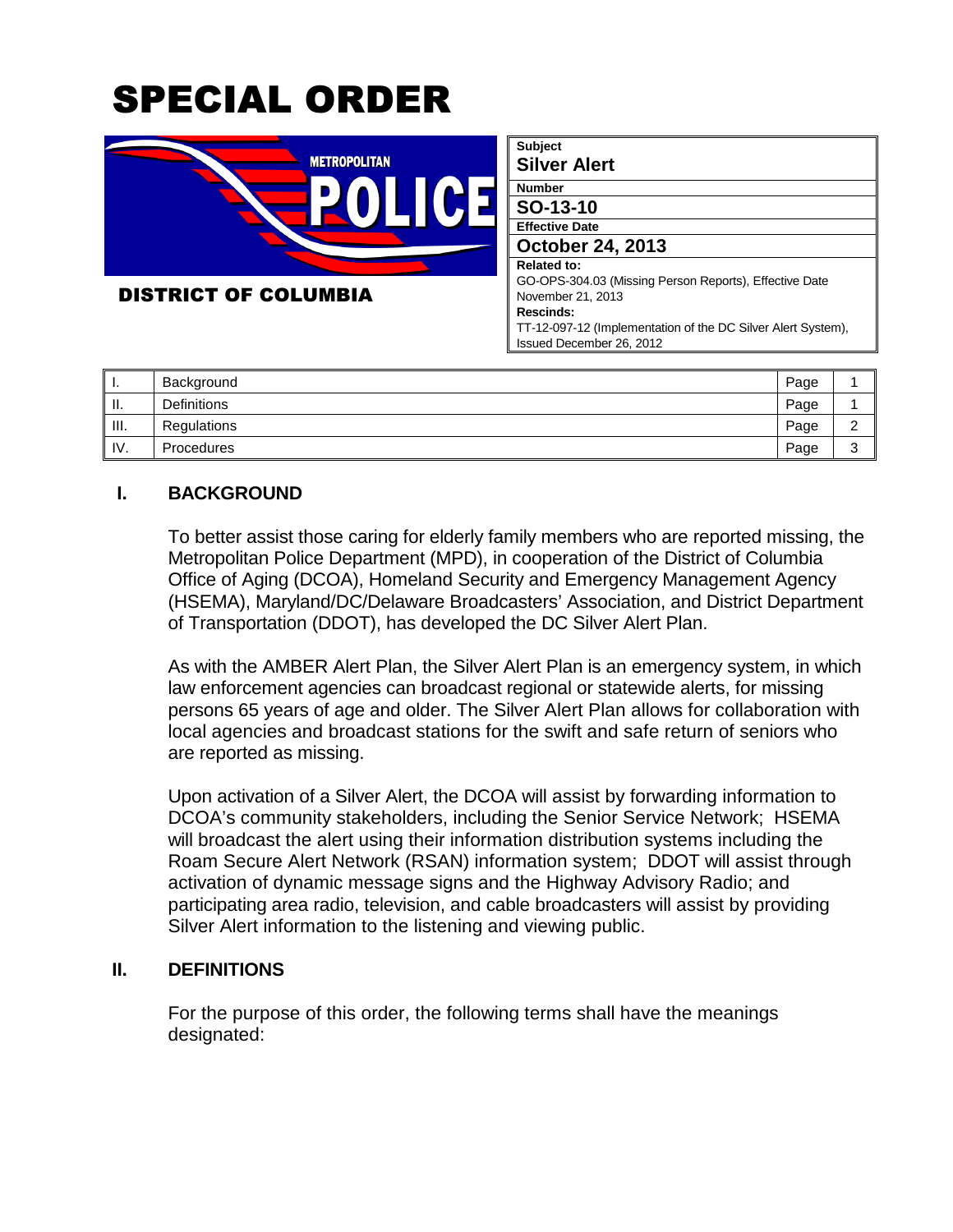# SPECIAL ORDER



DISTRICT OF COLUMBIA

| <b>Subject</b>           |                                                              |
|--------------------------|--------------------------------------------------------------|
| <b>Silver Alert</b>      |                                                              |
| <b>Number</b>            |                                                              |
| SO-13-10                 |                                                              |
| <b>Effective Date</b>    |                                                              |
| <b>October 24, 2013</b>  |                                                              |
| Related to:              |                                                              |
|                          | GO-OPS-304.03 (Missing Person Reports), Effective Date       |
| November 21, 2013        |                                                              |
| Rescinds:                |                                                              |
|                          | TT-12-097-12 (Implementation of the DC Silver Alert System), |
| Issued December 26, 2012 |                                                              |

| п.   | Background         | Page |  |
|------|--------------------|------|--|
| Ш.   | <b>Definitions</b> | Page |  |
| III. | Regulations        | Page |  |
| IV.  | Procedures         | Page |  |

### **I. BACKGROUND**

 To better assist those caring for elderly family members who are reported missing, the Metropolitan Police Department (MPD), in cooperation of the District of Columbia Office of Aging (DCOA), Homeland Security and Emergency Management Agency (HSEMA), Maryland/DC/Delaware Broadcasters' Association, and District Department of Transportation (DDOT), has developed the DC Silver Alert Plan.

As with the AMBER Alert Plan, the Silver Alert Plan is an emergency system, in which law enforcement agencies can broadcast regional or statewide alerts, for missing persons 65 years of age and older. The Silver Alert Plan allows for collaboration with local agencies and broadcast stations for the swift and safe return of seniors who are reported as missing.

Upon activation of a Silver Alert, the DCOA will assist by forwarding information to DCOA's community stakeholders, including the Senior Service Network; HSEMA will broadcast the alert using their information distribution systems including the Roam Secure Alert Network (RSAN) information system; DDOT will assist through activation of dynamic message signs and the Highway Advisory Radio; and participating area radio, television, and cable broadcasters will assist by providing Silver Alert information to the listening and viewing public.

#### **II. DEFINITIONS**

For the purpose of this order, the following terms shall have the meanings designated: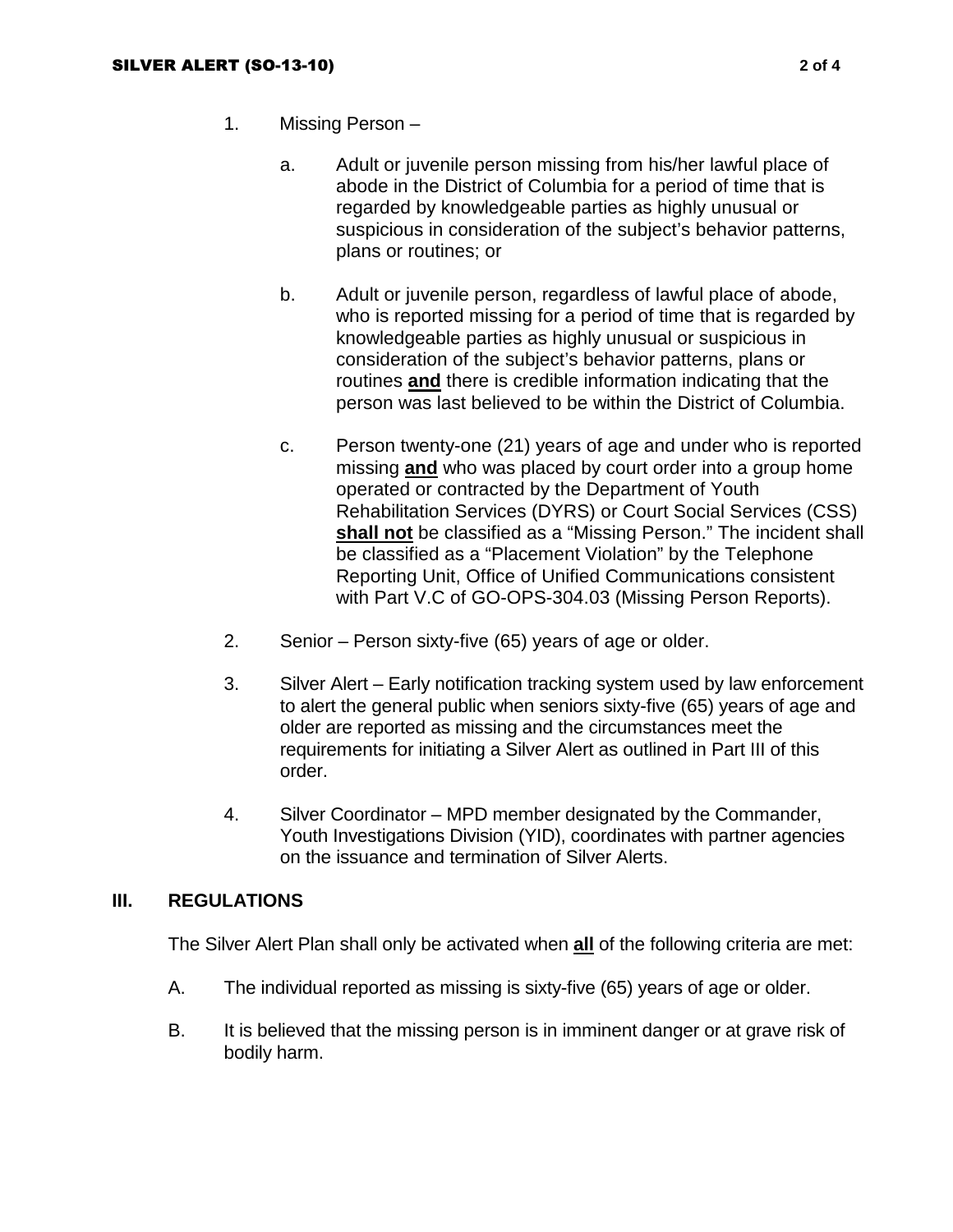- 1. Missing Person
	- a. Adult or juvenile person missing from his/her lawful place of abode in the District of Columbia for a period of time that is regarded by knowledgeable parties as highly unusual or suspicious in consideration of the subject's behavior patterns, plans or routines; or
	- b. Adult or juvenile person, regardless of lawful place of abode, who is reported missing for a period of time that is regarded by knowledgeable parties as highly unusual or suspicious in consideration of the subject's behavior patterns, plans or routines **and** there is credible information indicating that the person was last believed to be within the District of Columbia.
	- c. Person twenty-one (21) years of age and under who is reported missing **and** who was placed by court order into a group home operated or contracted by the Department of Youth Rehabilitation Services (DYRS) or Court Social Services (CSS) **shall not** be classified as a "Missing Person." The incident shall be classified as a "Placement Violation" by the Telephone Reporting Unit, Office of Unified Communications consistent with Part V.C of GO-OPS-304.03 (Missing Person Reports).
- 2. Senior Person sixty-five (65) years of age or older.
- 3. Silver Alert Early notification tracking system used by law enforcement to alert the general public when seniors sixty-five (65) years of age and older are reported as missing and the circumstances meet the requirements for initiating a Silver Alert as outlined in Part III of this order.
- 4. Silver Coordinator MPD member designated by the Commander, Youth Investigations Division (YID), coordinates with partner agencies on the issuance and termination of Silver Alerts.

## **III. REGULATIONS**

The Silver Alert Plan shall only be activated when **all** of the following criteria are met:

- A. The individual reported as missing is sixty-five (65) years of age or older.
- B. It is believed that the missing person is in imminent danger or at grave risk of bodily harm.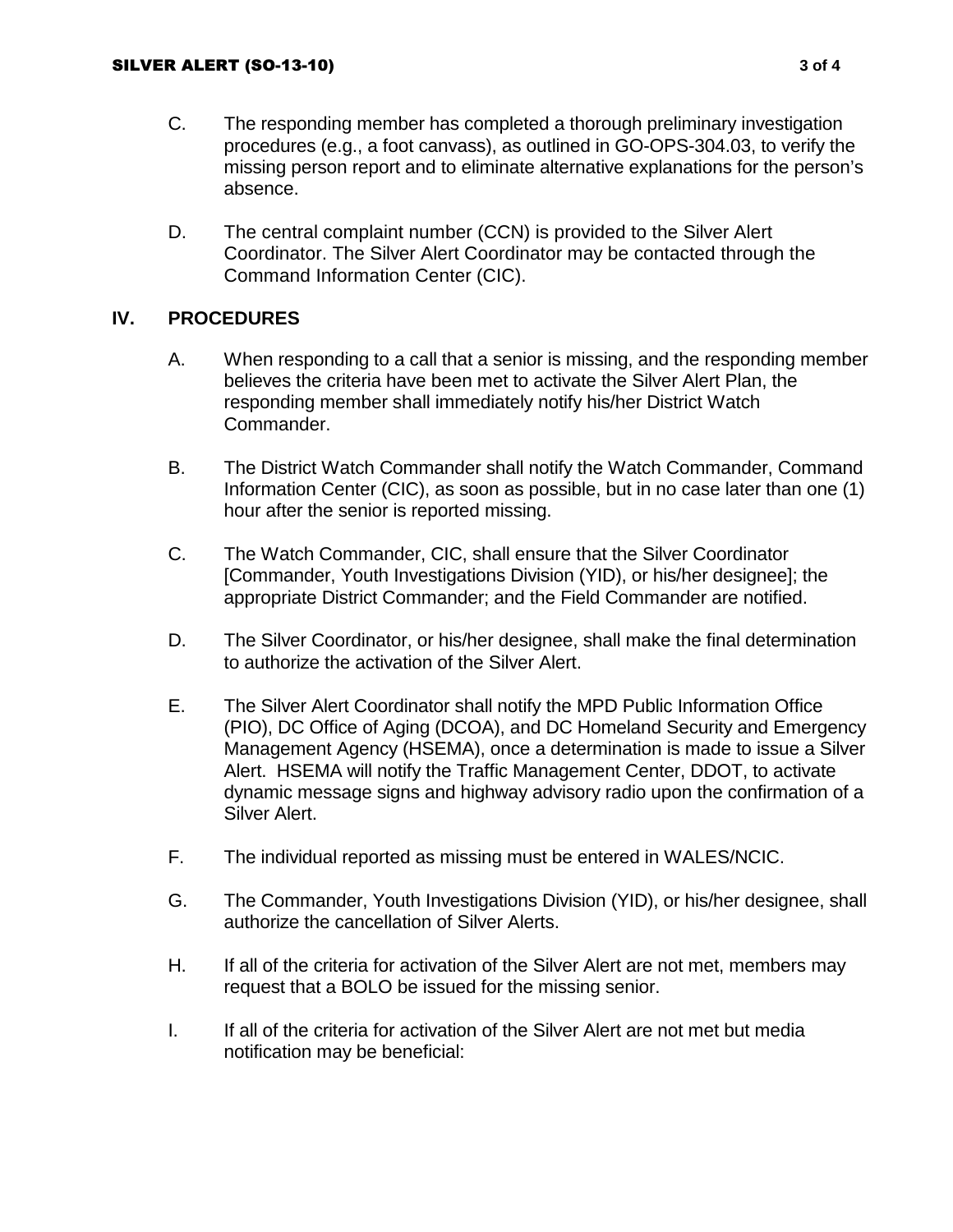- C. The responding member has completed a thorough preliminary investigation procedures (e.g., a foot canvass), as outlined in GO-OPS-304.03, to verify the missing person report and to eliminate alternative explanations for the person's absence.
- D. The central complaint number (CCN) is provided to the Silver Alert Coordinator. The Silver Alert Coordinator may be contacted through the Command Information Center (CIC).

## **IV. PROCEDURES**

- A. When responding to a call that a senior is missing, and the responding member believes the criteria have been met to activate the Silver Alert Plan, the responding member shall immediately notify his/her District Watch Commander.
- B. The District Watch Commander shall notify the Watch Commander, Command Information Center (CIC), as soon as possible, but in no case later than one (1) hour after the senior is reported missing.
- C. The Watch Commander, CIC, shall ensure that the Silver Coordinator [Commander, Youth Investigations Division (YID), or his/her designee]; the appropriate District Commander; and the Field Commander are notified.
- D. The Silver Coordinator, or his/her designee, shall make the final determination to authorize the activation of the Silver Alert.
- E. The Silver Alert Coordinator shall notify the MPD Public Information Office (PIO), DC Office of Aging (DCOA), and DC Homeland Security and Emergency Management Agency (HSEMA), once a determination is made to issue a Silver Alert. HSEMA will notify the Traffic Management Center, DDOT, to activate dynamic message signs and highway advisory radio upon the confirmation of a Silver Alert.
- F. The individual reported as missing must be entered in WALES/NCIC.
- G. The Commander, Youth Investigations Division (YID), or his/her designee, shall authorize the cancellation of Silver Alerts.
- H. If all of the criteria for activation of the Silver Alert are not met, members may request that a BOLO be issued for the missing senior.
- I. If all of the criteria for activation of the Silver Alert are not met but media notification may be beneficial: